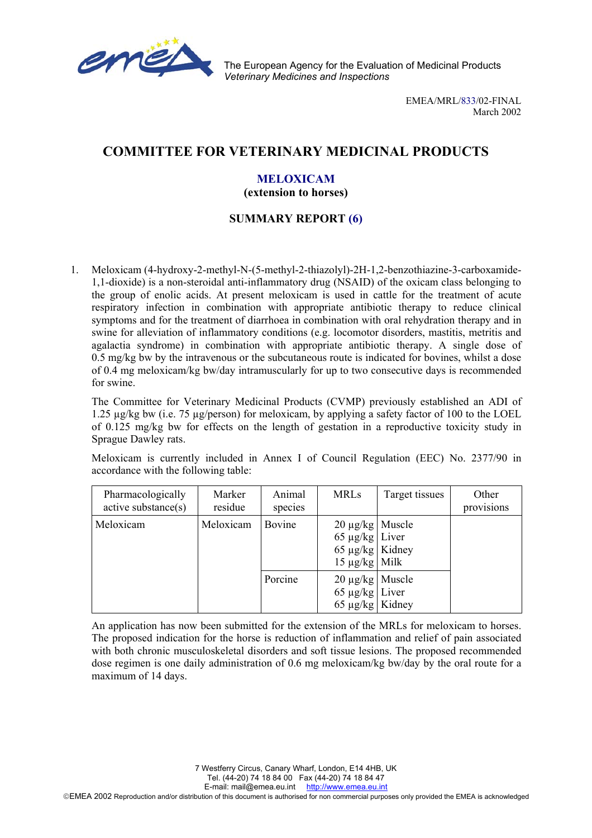

The European Agency for the Evaluation of Medicinal Products *Veterinary Medicines and Inspections*

> EMEA/MRL/833/02-FINAL March 2002

# **COMMITTEE FOR VETERINARY MEDICINAL PRODUCTS**

## **MELOXICAM**

#### **(extension to horses)**

### **SUMMARY REPORT (6)**

1. Meloxicam (4-hydroxy-2-methyl-N-(5-methyl-2-thiazolyl)-2H-1,2-benzothiazine-3-carboxamide-1,1-dioxide) is a non-steroidal anti-inflammatory drug (NSAID) of the oxicam class belonging to the group of enolic acids. At present meloxicam is used in cattle for the treatment of acute respiratory infection in combination with appropriate antibiotic therapy to reduce clinical symptoms and for the treatment of diarrhoea in combination with oral rehydration therapy and in swine for alleviation of inflammatory conditions (e.g. locomotor disorders, mastitis, metritis and agalactia syndrome) in combination with appropriate antibiotic therapy. A single dose of 0.5 mg/kg bw by the intravenous or the subcutaneous route is indicated for bovines, whilst a dose of 0.4 mg meloxicam/kg bw/day intramuscularly for up to two consecutive days is recommended for swine.

The Committee for Veterinary Medicinal Products (CVMP) previously established an ADI of 1.25 µg/kg bw (i.e. 75 µg/person) for meloxicam, by applying a safety factor of 100 to the LOEL of 0.125 mg/kg bw for effects on the length of gestation in a reproductive toxicity study in Sprague Dawley rats.

Meloxicam is currently included in Annex I of Council Regulation (EEC) No. 2377/90 in accordance with the following table:

| Pharmacologically<br>active substance(s) | Marker<br>residue | Animal<br>species | <b>MRLs</b>                                                                                 | Target tissues | Other<br>provisions |
|------------------------------------------|-------------------|-------------------|---------------------------------------------------------------------------------------------|----------------|---------------------|
| Meloxicam                                | Meloxicam         | Bovine            | $20 \mu g/kg$ Muscle<br>$65 \mu g/kg$ Liver<br>65 $\mu$ g/kg   Kidney<br>$15 \mu g/kg$ Milk |                |                     |
|                                          |                   | Porcine           | $20 \mu g/kg$ Muscle<br>$65 \mu g/kg$ Liver<br>65 $\mu$ g/kg   Kidney                       |                |                     |

An application has now been submitted for the extension of the MRLs for meloxicam to horses. The proposed indication for the horse is reduction of inflammation and relief of pain associated with both chronic musculoskeletal disorders and soft tissue lesions. The proposed recommended dose regimen is one daily administration of 0.6 mg meloxicam/kg bw/day by the oral route for a maximum of 14 days.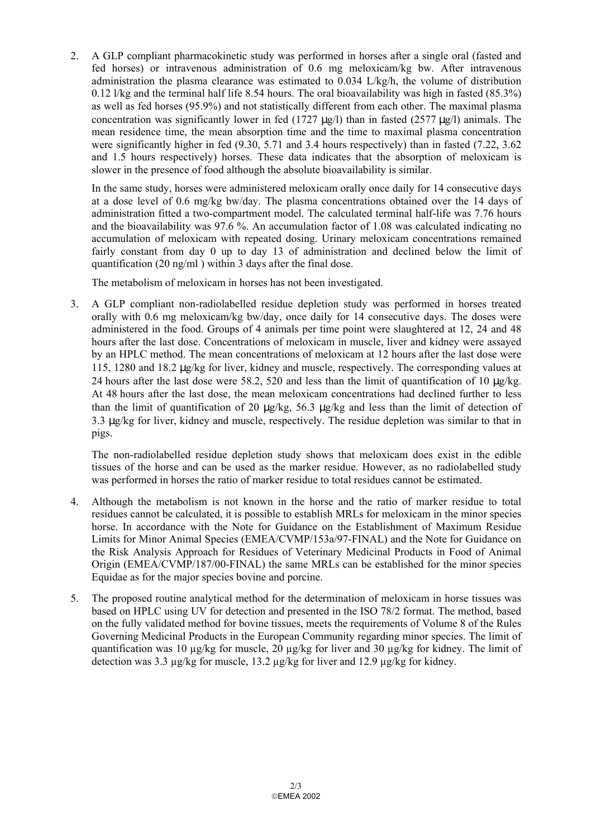2. A GLP compliant pharmacokinetic study was performed in horses after a single oral (fasted and fed horses) or intravenous administration of 0.6 mg meloxicam/kg bw. After intravenous administration the plasma clearance was estimated to  $0.034$  L/kg/h, the volume of distribution 0.12 l/kg and the terminal half life 8.54 hours. The oral bioavailability was high in fasted (85.3%) as well as fed horses (95.9%) and not statistically different from each other. The maximal plasma concentration was significantly lower in fed (1727  $\mu$ g/l) than in fasted (2577  $\mu$ g/l) animals. The mean residence time, the mean absorption time and the time to maximal plasma concentration were significantly higher in fed (9.30, 5.71 and 3.4 hours respectively) than in fasted (7.22, 3.62 and 1.5 hours respectively) horses. These data indicates that the absorption of meloxicam is slower in the presence of food although the absolute bioavailability is similar.

In the same study, horses were administered meloxicam orally once daily for 14 consecutive days at a dose level of 0.6 mg/kg bw/day. The plasma concentrations obtained over the 14 days of administration fitted a two-compartment model. The calculated terminal half-life was 7.76 hours and the bioavailability was 97.6 %. An accumulation factor of 1.08 was calculated indicating no accumulation of meloxicam with repeated dosing. Urinary meloxicam concentrations remained fairly constant from day 0 up to day 13 of administration and declined below the limit of quantification (20 ng/ml ) within 3 days after the final dose.

The metabolism of meloxicam in horses has not been investigated.

3. A GLP compliant non-radiolabelled residue depletion study was performed in horses treated orally with 0.6 mg meloxicam/kg bw/day, once daily for 14 consecutive days. The doses were administered in the food. Groups of 4 animals per time point were slaughtered at 12, 24 and 48 hours after the last dose. Concentrations of meloxicam in muscle, liver and kidney were assayed by an HPLC method. The mean concentrations of meloxicam at 12 hours after the last dose were 115, 1280 and 18.2 µg/kg for liver, kidney and muscle, respectively. The corresponding values at 24 hours after the last dose were 58.2, 520 and less than the limit of quantification of 10  $\mu$ g/kg. At 48 hours after the last dose, the mean meloxicam concentrations had declined further to less than the limit of quantification of 20  $\mu$ g/kg, 56.3  $\mu$ g/kg and less than the limit of detection of 3.3 µg/kg for liver, kidney and muscle, respectively. The residue depletion was similar to that in pigs.

The non-radiolabelled residue depletion study shows that meloxicam does exist in the edible tissues of the horse and can be used as the marker residue. However, as no radiolabelled study was performed in horses the ratio of marker residue to total residues cannot be estimated.

- 4. Although the metabolism is not known in the horse and the ratio of marker residue to total residues cannot be calculated, it is possible to establish MRLs for meloxicam in the minor species horse. In accordance with the Note for Guidance on the Establishment of Maximum Residue Limits for Minor Animal Species (EMEA/CVMP/153a/97-FINAL) and the Note for Guidance on the Risk Analysis Approach for Residues of Veterinary Medicinal Products in Food of Animal Origin (EMEA/CVMP/187/00-FINAL) the same MRLs can be established for the minor species Equidae as for the major species bovine and porcine.
- 5. The proposed routine analytical method for the determination of meloxicam in horse tissues was based on HPLC using UV for detection and presented in the ISO 78/2 format. The method, based on the fully validated method for bovine tissues, meets the requirements of Volume 8 of the Rules Governing Medicinal Products in the European Community regarding minor species. The limit of quantification was 10 µg/kg for muscle, 20 µg/kg for liver and 30 µg/kg for kidney. The limit of detection was 3.3 µg/kg for muscle, 13.2 µg/kg for liver and 12.9 µg/kg for kidney.